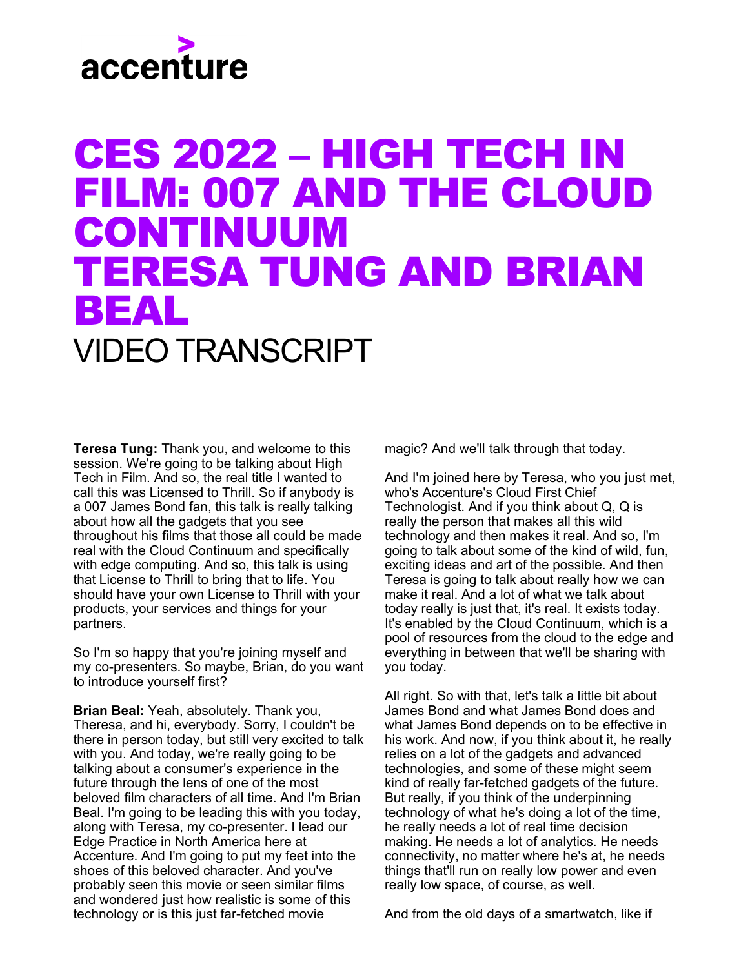#### CES 2022 – HIGH TECH IN FILM: 007 AND THE CLOUD CONTINUUM TERESA TUNG AND BRIAN BEAL VIDEO TRANSCRIPT

**Teresa Tung:** Thank you, and welcome to this session. We're going to be talking about High Tech in Film. And so, the real title I wanted to call this was Licensed to Thrill. So if anybody is a 007 James Bond fan, this talk is really talking about how all the gadgets that you see throughout his films that those all could be made real with the Cloud Continuum and specifically with edge computing. And so, this talk is using that License to Thrill to bring that to life. You should have your own License to Thrill with your products, your services and things for your partners.

So I'm so happy that you're joining myself and my co-presenters. So maybe, Brian, do you want to introduce yourself first?

**Brian Beal:** Yeah, absolutely. Thank you, Theresa, and hi, everybody. Sorry, I couldn't be there in person today, but still very excited to talk with you. And today, we're really going to be talking about a consumer's experience in the future through the lens of one of the most beloved film characters of all time. And I'm Brian Beal. I'm going to be leading this with you today, along with Teresa, my co-presenter. I lead our Edge Practice in North America here at Accenture. And I'm going to put my feet into the shoes of this beloved character. And you've probably seen this movie or seen similar films and wondered just how realistic is some of this technology or is this just far-fetched movie

magic? And we'll talk through that today.

And I'm joined here by Teresa, who you just met, who's Accenture's Cloud First Chief Technologist. And if you think about Q, Q is really the person that makes all this wild technology and then makes it real. And so, I'm going to talk about some of the kind of wild, fun, exciting ideas and art of the possible. And then Teresa is going to talk about really how we can make it real. And a lot of what we talk about today really is just that, it's real. It exists today. It's enabled by the Cloud Continuum, which is a pool of resources from the cloud to the edge and everything in between that we'll be sharing with you today.

All right. So with that, let's talk a little bit about James Bond and what James Bond does and what James Bond depends on to be effective in his work. And now, if you think about it, he really relies on a lot of the gadgets and advanced technologies, and some of these might seem kind of really far-fetched gadgets of the future. But really, if you think of the underpinning technology of what he's doing a lot of the time, he really needs a lot of real time decision making. He needs a lot of analytics. He needs connectivity, no matter where he's at, he needs things that'll run on really low power and even really low space, of course, as well.

And from the old days of a smartwatch, like if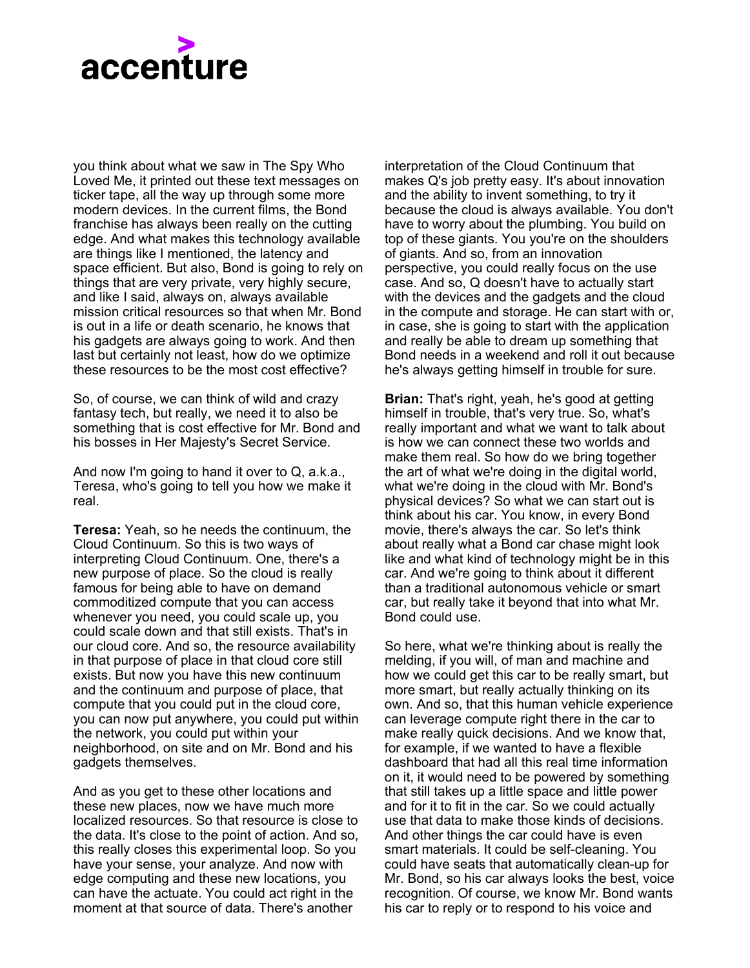you think about what we saw in The Spy Who Loved Me, it printed out these text messages on ticker tape, all the way up through some more modern devices. In the current films, the Bond franchise has always been really on the cutting edge. And what makes this technology available are things like I mentioned, the latency and space efficient. But also, Bond is going to rely on things that are very private, very highly secure, and like I said, always on, always available mission critical resources so that when Mr. Bond is out in a life or death scenario, he knows that his gadgets are always going to work. And then last but certainly not least, how do we optimize these resources to be the most cost effective?

So, of course, we can think of wild and crazy fantasy tech, but really, we need it to also be something that is cost effective for Mr. Bond and his bosses in Her Majesty's Secret Service.

And now I'm going to hand it over to Q, a.k.a., Teresa, who's going to tell you how we make it real.

**Teresa:** Yeah, so he needs the continuum, the Cloud Continuum. So this is two ways of interpreting Cloud Continuum. One, there's a new purpose of place. So the cloud is really famous for being able to have on demand commoditized compute that you can access whenever you need, you could scale up, you could scale down and that still exists. That's in our cloud core. And so, the resource availability in that purpose of place in that cloud core still exists. But now you have this new continuum and the continuum and purpose of place, that compute that you could put in the cloud core, you can now put anywhere, you could put within the network, you could put within your neighborhood, on site and on Mr. Bond and his gadgets themselves.

And as you get to these other locations and these new places, now we have much more localized resources. So that resource is close to the data. It's close to the point of action. And so, this really closes this experimental loop. So you have your sense, your analyze. And now with edge computing and these new locations, you can have the actuate. You could act right in the moment at that source of data. There's another

interpretation of the Cloud Continuum that makes Q's job pretty easy. It's about innovation and the ability to invent something, to try it because the cloud is always available. You don't have to worry about the plumbing. You build on top of these giants. You you're on the shoulders of giants. And so, from an innovation perspective, you could really focus on the use case. And so, Q doesn't have to actually start with the devices and the gadgets and the cloud in the compute and storage. He can start with or, in case, she is going to start with the application and really be able to dream up something that Bond needs in a weekend and roll it out because he's always getting himself in trouble for sure.

**Brian:** That's right, yeah, he's good at getting himself in trouble, that's very true. So, what's really important and what we want to talk about is how we can connect these two worlds and make them real. So how do we bring together the art of what we're doing in the digital world, what we're doing in the cloud with Mr. Bond's physical devices? So what we can start out is think about his car. You know, in every Bond movie, there's always the car. So let's think about really what a Bond car chase might look like and what kind of technology might be in this car. And we're going to think about it different than a traditional autonomous vehicle or smart car, but really take it beyond that into what Mr. Bond could use.

So here, what we're thinking about is really the melding, if you will, of man and machine and how we could get this car to be really smart, but more smart, but really actually thinking on its own. And so, that this human vehicle experience can leverage compute right there in the car to make really quick decisions. And we know that, for example, if we wanted to have a flexible dashboard that had all this real time information on it, it would need to be powered by something that still takes up a little space and little power and for it to fit in the car. So we could actually use that data to make those kinds of decisions. And other things the car could have is even smart materials. It could be self-cleaning. You could have seats that automatically clean-up for Mr. Bond, so his car always looks the best, voice recognition. Of course, we know Mr. Bond wants his car to reply or to respond to his voice and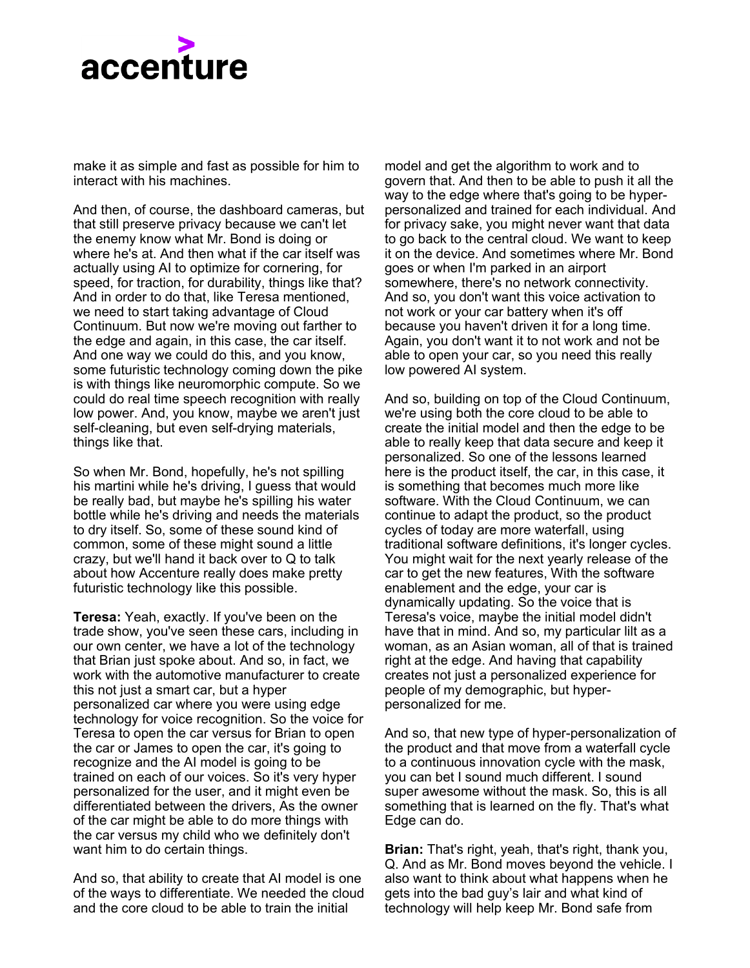

make it as simple and fast as possible for him to interact with his machines.

And then, of course, the dashboard cameras, but that still preserve privacy because we can't let the enemy know what Mr. Bond is doing or where he's at. And then what if the car itself was actually using AI to optimize for cornering, for speed, for traction, for durability, things like that? And in order to do that, like Teresa mentioned, we need to start taking advantage of Cloud Continuum. But now we're moving out farther to the edge and again, in this case, the car itself. And one way we could do this, and you know, some futuristic technology coming down the pike is with things like neuromorphic compute. So we could do real time speech recognition with really low power. And, you know, maybe we aren't just self-cleaning, but even self-drying materials, things like that.

So when Mr. Bond, hopefully, he's not spilling his martini while he's driving, I guess that would be really bad, but maybe he's spilling his water bottle while he's driving and needs the materials to dry itself. So, some of these sound kind of common, some of these might sound a little crazy, but we'll hand it back over to Q to talk about how Accenture really does make pretty futuristic technology like this possible.

**Teresa:** Yeah, exactly. If you've been on the trade show, you've seen these cars, including in our own center, we have a lot of the technology that Brian just spoke about. And so, in fact, we work with the automotive manufacturer to create this not just a smart car, but a hyper personalized car where you were using edge technology for voice recognition. So the voice for Teresa to open the car versus for Brian to open the car or James to open the car, it's going to recognize and the AI model is going to be trained on each of our voices. So it's very hyper personalized for the user, and it might even be differentiated between the drivers, As the owner of the car might be able to do more things with the car versus my child who we definitely don't want him to do certain things.

And so, that ability to create that AI model is one of the ways to differentiate. We needed the cloud and the core cloud to be able to train the initial

model and get the algorithm to work and to govern that. And then to be able to push it all the way to the edge where that's going to be hyperpersonalized and trained for each individual. And for privacy sake, you might never want that data to go back to the central cloud. We want to keep it on the device. And sometimes where Mr. Bond goes or when I'm parked in an airport somewhere, there's no network connectivity. And so, you don't want this voice activation to not work or your car battery when it's off because you haven't driven it for a long time. Again, you don't want it to not work and not be able to open your car, so you need this really low powered AI system.

And so, building on top of the Cloud Continuum, we're using both the core cloud to be able to create the initial model and then the edge to be able to really keep that data secure and keep it personalized. So one of the lessons learned here is the product itself, the car, in this case, it is something that becomes much more like software. With the Cloud Continuum, we can continue to adapt the product, so the product cycles of today are more waterfall, using traditional software definitions, it's longer cycles. You might wait for the next yearly release of the car to get the new features, With the software enablement and the edge, your car is dynamically updating. So the voice that is Teresa's voice, maybe the initial model didn't have that in mind. And so, my particular lilt as a woman, as an Asian woman, all of that is trained right at the edge. And having that capability creates not just a personalized experience for people of my demographic, but hyperpersonalized for me.

And so, that new type of hyper-personalization of the product and that move from a waterfall cycle to a continuous innovation cycle with the mask, you can bet I sound much different. I sound super awesome without the mask. So, this is all something that is learned on the fly. That's what Edge can do.

**Brian:** That's right, yeah, that's right, thank you, Q. And as Mr. Bond moves beyond the vehicle. I also want to think about what happens when he gets into the bad guy's lair and what kind of technology will help keep Mr. Bond safe from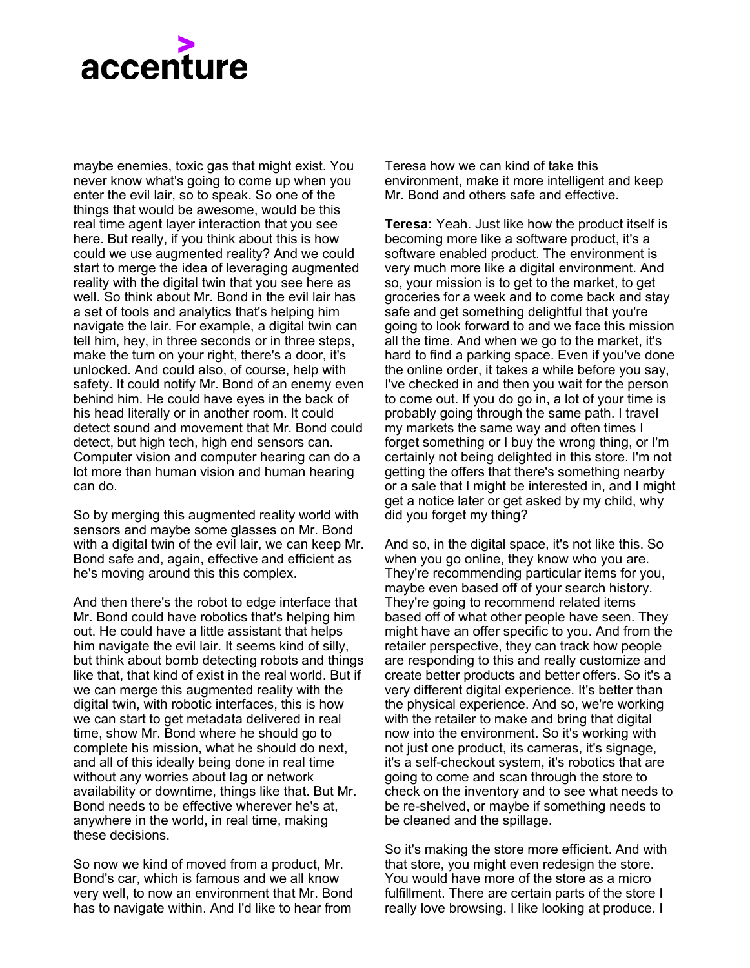maybe enemies, toxic gas that might exist. You never know what's going to come up when you enter the evil lair, so to speak. So one of the things that would be awesome, would be this real time agent layer interaction that you see here. But really, if you think about this is how could we use augmented reality? And we could start to merge the idea of leveraging augmented reality with the digital twin that you see here as well. So think about Mr. Bond in the evil lair has a set of tools and analytics that's helping him navigate the lair. For example, a digital twin can tell him, hey, in three seconds or in three steps, make the turn on your right, there's a door, it's unlocked. And could also, of course, help with safety. It could notify Mr. Bond of an enemy even behind him. He could have eyes in the back of his head literally or in another room. It could detect sound and movement that Mr. Bond could detect, but high tech, high end sensors can. Computer vision and computer hearing can do a lot more than human vision and human hearing can do.

So by merging this augmented reality world with sensors and maybe some glasses on Mr. Bond with a digital twin of the evil lair, we can keep Mr. Bond safe and, again, effective and efficient as he's moving around this this complex.

And then there's the robot to edge interface that Mr. Bond could have robotics that's helping him out. He could have a little assistant that helps him navigate the evil lair. It seems kind of silly, but think about bomb detecting robots and things like that, that kind of exist in the real world. But if we can merge this augmented reality with the digital twin, with robotic interfaces, this is how we can start to get metadata delivered in real time, show Mr. Bond where he should go to complete his mission, what he should do next, and all of this ideally being done in real time without any worries about lag or network availability or downtime, things like that. But Mr. Bond needs to be effective wherever he's at, anywhere in the world, in real time, making these decisions.

So now we kind of moved from a product, Mr. Bond's car, which is famous and we all know very well, to now an environment that Mr. Bond has to navigate within. And I'd like to hear from

Teresa how we can kind of take this environment, make it more intelligent and keep Mr. Bond and others safe and effective.

**Teresa:** Yeah. Just like how the product itself is becoming more like a software product, it's a software enabled product. The environment is very much more like a digital environment. And so, your mission is to get to the market, to get groceries for a week and to come back and stay safe and get something delightful that you're going to look forward to and we face this mission all the time. And when we go to the market, it's hard to find a parking space. Even if you've done the online order, it takes a while before you say, I've checked in and then you wait for the person to come out. If you do go in, a lot of your time is probably going through the same path. I travel my markets the same way and often times I forget something or I buy the wrong thing, or I'm certainly not being delighted in this store. I'm not getting the offers that there's something nearby or a sale that I might be interested in, and I might get a notice later or get asked by my child, why did you forget my thing?

And so, in the digital space, it's not like this. So when you go online, they know who you are. They're recommending particular items for you, maybe even based off of your search history. They're going to recommend related items based off of what other people have seen. They might have an offer specific to you. And from the retailer perspective, they can track how people are responding to this and really customize and create better products and better offers. So it's a very different digital experience. It's better than the physical experience. And so, we're working with the retailer to make and bring that digital now into the environment. So it's working with not just one product, its cameras, it's signage, it's a self-checkout system, it's robotics that are going to come and scan through the store to check on the inventory and to see what needs to be re-shelved, or maybe if something needs to be cleaned and the spillage.

So it's making the store more efficient. And with that store, you might even redesign the store. You would have more of the store as a micro fulfillment. There are certain parts of the store I really love browsing. I like looking at produce. I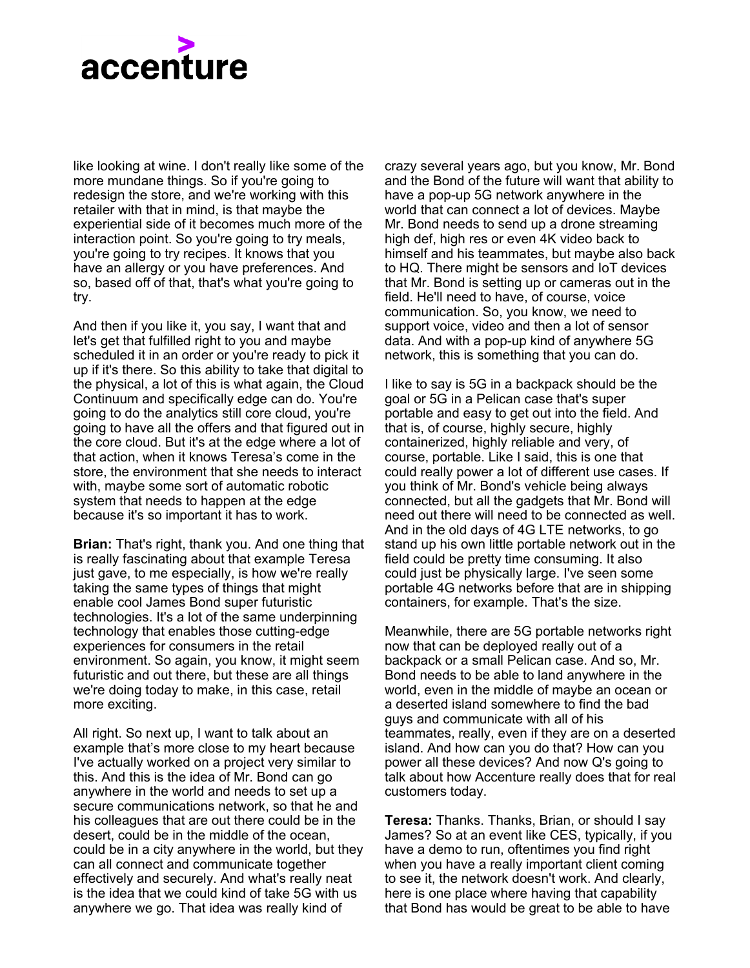like looking at wine. I don't really like some of the more mundane things. So if you're going to redesign the store, and we're working with this retailer with that in mind, is that maybe the experiential side of it becomes much more of the interaction point. So you're going to try meals, you're going to try recipes. It knows that you have an allergy or you have preferences. And so, based off of that, that's what you're going to try.

And then if you like it, you say, I want that and let's get that fulfilled right to you and maybe scheduled it in an order or you're ready to pick it up if it's there. So this ability to take that digital to the physical, a lot of this is what again, the Cloud Continuum and specifically edge can do. You're going to do the analytics still core cloud, you're going to have all the offers and that figured out in the core cloud. But it's at the edge where a lot of that action, when it knows Teresa's come in the store, the environment that she needs to interact with, maybe some sort of automatic robotic system that needs to happen at the edge because it's so important it has to work.

**Brian:** That's right, thank you. And one thing that is really fascinating about that example Teresa just gave, to me especially, is how we're really taking the same types of things that might enable cool James Bond super futuristic technologies. It's a lot of the same underpinning technology that enables those cutting-edge experiences for consumers in the retail environment. So again, you know, it might seem futuristic and out there, but these are all things we're doing today to make, in this case, retail more exciting.

All right. So next up, I want to talk about an example that's more close to my heart because I've actually worked on a project very similar to this. And this is the idea of Mr. Bond can go anywhere in the world and needs to set up a secure communications network, so that he and his colleagues that are out there could be in the desert, could be in the middle of the ocean, could be in a city anywhere in the world, but they can all connect and communicate together effectively and securely. And what's really neat is the idea that we could kind of take 5G with us anywhere we go. That idea was really kind of

crazy several years ago, but you know, Mr. Bond and the Bond of the future will want that ability to have a pop-up 5G network anywhere in the world that can connect a lot of devices. Maybe Mr. Bond needs to send up a drone streaming high def, high res or even 4K video back to himself and his teammates, but maybe also back to HQ. There might be sensors and IoT devices that Mr. Bond is setting up or cameras out in the field. He'll need to have, of course, voice communication. So, you know, we need to support voice, video and then a lot of sensor data. And with a pop-up kind of anywhere 5G network, this is something that you can do.

I like to say is 5G in a backpack should be the goal or 5G in a Pelican case that's super portable and easy to get out into the field. And that is, of course, highly secure, highly containerized, highly reliable and very, of course, portable. Like I said, this is one that could really power a lot of different use cases. If you think of Mr. Bond's vehicle being always connected, but all the gadgets that Mr. Bond will need out there will need to be connected as well. And in the old days of 4G LTE networks, to go stand up his own little portable network out in the field could be pretty time consuming. It also could just be physically large. I've seen some portable 4G networks before that are in shipping containers, for example. That's the size.

Meanwhile, there are 5G portable networks right now that can be deployed really out of a backpack or a small Pelican case. And so, Mr. Bond needs to be able to land anywhere in the world, even in the middle of maybe an ocean or a deserted island somewhere to find the bad guys and communicate with all of his teammates, really, even if they are on a deserted island. And how can you do that? How can you power all these devices? And now Q's going to talk about how Accenture really does that for real customers today.

**Teresa:** Thanks. Thanks, Brian, or should I say James? So at an event like CES, typically, if you have a demo to run, oftentimes you find right when you have a really important client coming to see it, the network doesn't work. And clearly, here is one place where having that capability that Bond has would be great to be able to have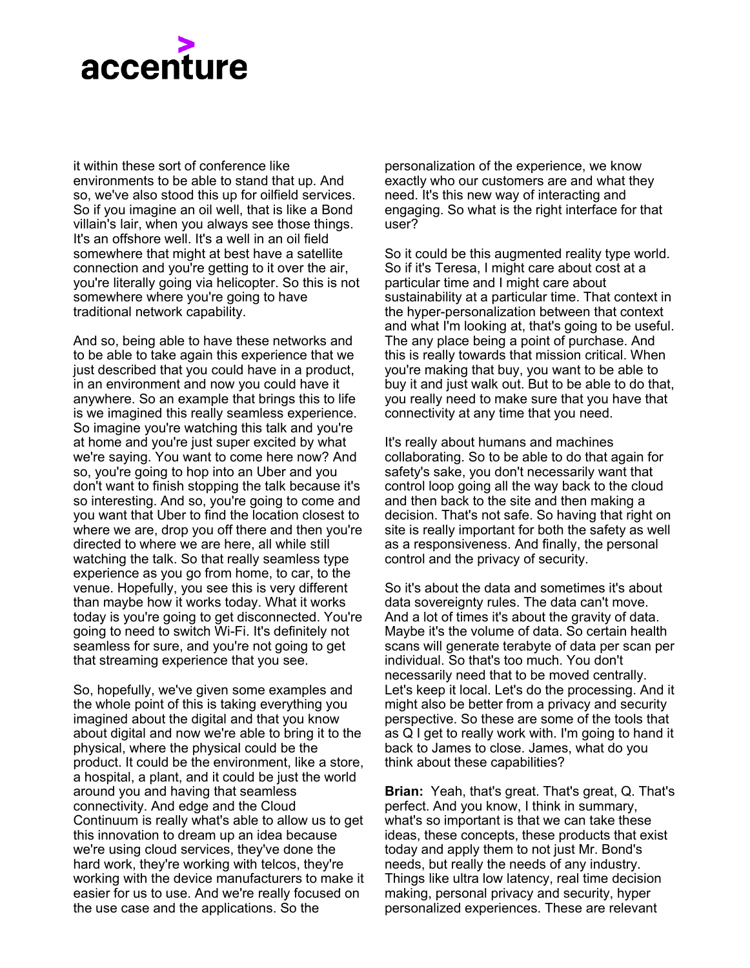

it within these sort of conference like environments to be able to stand that up. And so, we've also stood this up for oilfield services. So if you imagine an oil well, that is like a Bond villain's lair, when you always see those things. It's an offshore well. It's a well in an oil field somewhere that might at best have a satellite connection and you're getting to it over the air, you're literally going via helicopter. So this is not somewhere where you're going to have traditional network capability.

And so, being able to have these networks and to be able to take again this experience that we just described that you could have in a product, in an environment and now you could have it anywhere. So an example that brings this to life is we imagined this really seamless experience. So imagine you're watching this talk and you're at home and you're just super excited by what we're saying. You want to come here now? And so, you're going to hop into an Uber and you don't want to finish stopping the talk because it's so interesting. And so, you're going to come and you want that Uber to find the location closest to where we are, drop you off there and then you're directed to where we are here, all while still watching the talk. So that really seamless type experience as you go from home, to car, to the venue. Hopefully, you see this is very different than maybe how it works today. What it works today is you're going to get disconnected. You're going to need to switch Wi-Fi. It's definitely not seamless for sure, and you're not going to get that streaming experience that you see.

So, hopefully, we've given some examples and the whole point of this is taking everything you imagined about the digital and that you know about digital and now we're able to bring it to the physical, where the physical could be the product. It could be the environment, like a store, a hospital, a plant, and it could be just the world around you and having that seamless connectivity. And edge and the Cloud Continuum is really what's able to allow us to get this innovation to dream up an idea because we're using cloud services, they've done the hard work, they're working with telcos, they're working with the device manufacturers to make it easier for us to use. And we're really focused on the use case and the applications. So the

personalization of the experience, we know exactly who our customers are and what they need. It's this new way of interacting and engaging. So what is the right interface for that user?

So it could be this augmented reality type world. So if it's Teresa, I might care about cost at a particular time and I might care about sustainability at a particular time. That context in the hyper-personalization between that context and what I'm looking at, that's going to be useful. The any place being a point of purchase. And this is really towards that mission critical. When you're making that buy, you want to be able to buy it and just walk out. But to be able to do that, you really need to make sure that you have that connectivity at any time that you need.

It's really about humans and machines collaborating. So to be able to do that again for safety's sake, you don't necessarily want that control loop going all the way back to the cloud and then back to the site and then making a decision. That's not safe. So having that right on site is really important for both the safety as well as a responsiveness. And finally, the personal control and the privacy of security.

So it's about the data and sometimes it's about data sovereignty rules. The data can't move. And a lot of times it's about the gravity of data. Maybe it's the volume of data. So certain health scans will generate terabyte of data per scan per individual. So that's too much. You don't necessarily need that to be moved centrally. Let's keep it local. Let's do the processing. And it might also be better from a privacy and security perspective. So these are some of the tools that as Q I get to really work with. I'm going to hand it back to James to close. James, what do you think about these capabilities?

**Brian:** Yeah, that's great. That's great, Q. That's perfect. And you know, I think in summary, what's so important is that we can take these ideas, these concepts, these products that exist today and apply them to not just Mr. Bond's needs, but really the needs of any industry. Things like ultra low latency, real time decision making, personal privacy and security, hyper personalized experiences. These are relevant